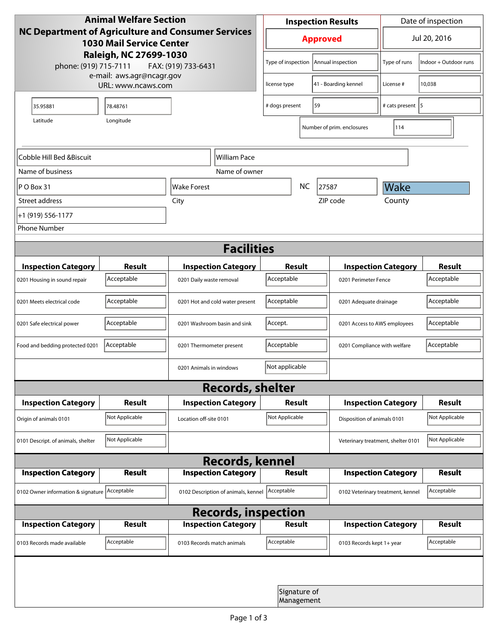| <b>Animal Welfare Section</b><br><b>NC Department of Agriculture and Consumer Services</b><br><b>1030 Mail Service Center</b><br>Raleigh, NC 27699-1030<br>phone: (919) 715-7111<br>FAX: (919) 733-6431 |                |                                     | <b>Inspection Results</b>                  |                                         |                                    | Date of inspection          |                       |  |
|---------------------------------------------------------------------------------------------------------------------------------------------------------------------------------------------------------|----------------|-------------------------------------|--------------------------------------------|-----------------------------------------|------------------------------------|-----------------------------|-----------------------|--|
|                                                                                                                                                                                                         |                |                                     | <b>Approved</b>                            |                                         |                                    | Jul 20, 2016                |                       |  |
|                                                                                                                                                                                                         |                |                                     |                                            | Type of inspection<br>Annual inspection |                                    | Type of runs                | Indoor + Outdoor runs |  |
| e-mail: aws.agr@ncagr.gov<br>URL: www.ncaws.com                                                                                                                                                         |                |                                     | 41 - Boarding kennel<br>license type       |                                         | License #                          | 10,038                      |                       |  |
| 35.95881                                                                                                                                                                                                | 78.48761       |                                     | 59<br># dogs present                       |                                         |                                    | # cats present   5          |                       |  |
| Latitude                                                                                                                                                                                                |                |                                     |                                            | Number of prim. enclosures              | 114                                |                             |                       |  |
| Cobble Hill Bed &Biscuit                                                                                                                                                                                |                | William Pace                        |                                            |                                         |                                    |                             |                       |  |
| Name of business                                                                                                                                                                                        |                | Name of owner                       |                                            |                                         |                                    |                             |                       |  |
| $ P O B$ ox 31                                                                                                                                                                                          |                | Wake Forest                         |                                            | <b>NC</b>                               | 27587                              | Wake                        |                       |  |
| Street address                                                                                                                                                                                          |                | City                                |                                            |                                         | ZIP code                           | County                      |                       |  |
| +1 (919) 556-1177                                                                                                                                                                                       |                |                                     |                                            |                                         |                                    |                             |                       |  |
| <b>Phone Number</b>                                                                                                                                                                                     |                |                                     |                                            |                                         |                                    |                             |                       |  |
| <b>Facilities</b>                                                                                                                                                                                       |                |                                     |                                            |                                         |                                    |                             |                       |  |
| <b>Inspection Category</b>                                                                                                                                                                              | <b>Result</b>  | <b>Inspection Category</b>          | <b>Result</b>                              |                                         |                                    | <b>Inspection Category</b>  | <b>Result</b>         |  |
| 0201 Housing in sound repair                                                                                                                                                                            | Acceptable     | 0201 Daily waste removal            | Acceptable                                 |                                         | 0201 Perimeter Fence               |                             | Acceptable            |  |
| 0201 Meets electrical code                                                                                                                                                                              | Acceptable     | 0201 Hot and cold water present     | Acceptable<br>0201 Adequate drainage       |                                         |                                    | Acceptable                  |                       |  |
| 0201 Safe electrical power                                                                                                                                                                              | Acceptable     | 0201 Washroom basin and sink        | Accept.<br>0201 Access to AWS employees    |                                         |                                    | Acceptable                  |                       |  |
| Food and bedding protected 0201                                                                                                                                                                         | Acceptable     | 0201 Thermometer present            | Acceptable<br>0201 Compliance with welfare |                                         |                                    | Acceptable                  |                       |  |
|                                                                                                                                                                                                         |                | 0201 Animals in windows             | Not applicable                             |                                         |                                    |                             |                       |  |
| <b>Records, shelter</b>                                                                                                                                                                                 |                |                                     |                                            |                                         |                                    |                             |                       |  |
| <b>Inspection Category</b>                                                                                                                                                                              | <b>Result</b>  | <b>Inspection Category</b>          | Result                                     |                                         |                                    | <b>Inspection Category</b>  | <b>Result</b>         |  |
| Origin of animals 0101                                                                                                                                                                                  | Not Applicable | Location off-site 0101              | Not Applicable                             |                                         |                                    | Disposition of animals 0101 |                       |  |
| 0101 Descript. of animals, shelter                                                                                                                                                                      | Not Applicable |                                     |                                            |                                         | Veterinary treatment, shelter 0101 |                             | Not Applicable        |  |
| <b>Records, kennel</b>                                                                                                                                                                                  |                |                                     |                                            |                                         |                                    |                             |                       |  |
| <b>Inspection Category</b>                                                                                                                                                                              | Result         | <b>Inspection Category</b>          | <b>Result</b>                              |                                         |                                    | <b>Inspection Category</b>  | Result                |  |
| 0102 Owner information & signature Acceptable                                                                                                                                                           |                | 0102 Description of animals, kennel | Acceptable                                 |                                         | 0102 Veterinary treatment, kennel  |                             | Acceptable            |  |
| <b>Records, inspection</b>                                                                                                                                                                              |                |                                     |                                            |                                         |                                    |                             |                       |  |
| <b>Inspection Category</b>                                                                                                                                                                              | <b>Result</b>  | <b>Inspection Category</b>          | <b>Result</b>                              |                                         |                                    | <b>Inspection Category</b>  | <b>Result</b>         |  |
| 0103 Records made available                                                                                                                                                                             | Acceptable     | 0103 Records match animals          | Acceptable                                 |                                         | 0103 Records kept 1+ year          |                             | Acceptable            |  |
|                                                                                                                                                                                                         |                |                                     |                                            |                                         |                                    |                             |                       |  |
|                                                                                                                                                                                                         |                |                                     |                                            | Signature of<br>Management              |                                    |                             |                       |  |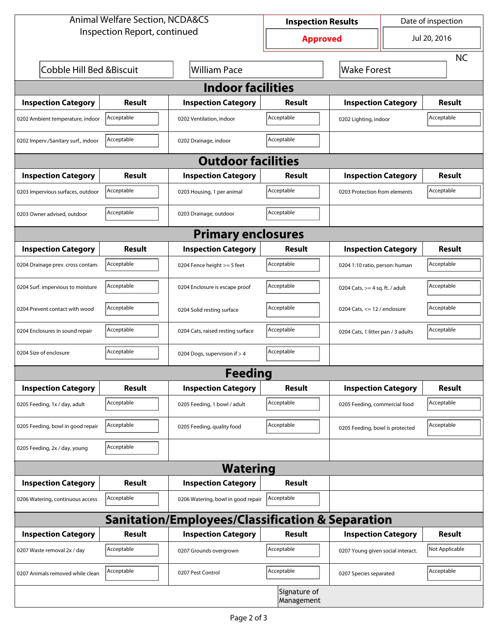| <b>Animal Welfare Section, NCDA&amp;CS</b> |               |                                                             | <b>Inspection Results</b>       |                                     | Date of inspection |                |  |
|--------------------------------------------|---------------|-------------------------------------------------------------|---------------------------------|-------------------------------------|--------------------|----------------|--|
| Inspection Report, continued               |               |                                                             | Jul 20, 2016<br><b>Approved</b> |                                     |                    |                |  |
|                                            |               |                                                             |                                 |                                     |                    | <b>NC</b>      |  |
| Cobble Hill Bed & Biscuit                  |               | <b>William Pace</b>                                         |                                 | <b>Wake Forest</b>                  |                    |                |  |
|                                            |               | <b>Indoor facilities</b>                                    |                                 |                                     |                    |                |  |
| <b>Inspection Category</b>                 | Result        | <b>Inspection Category</b>                                  | Result                          | <b>Inspection Category</b>          |                    | <b>Result</b>  |  |
| 0202 Ambient temperature, indoor           | Acceptable    | 0202 Ventilation, indoor                                    | Acceptable                      | Acceptable<br>0202 Lighting, indoor |                    |                |  |
| 0202 Imperv./Sanitary surf., indoor        | Acceptable    | 0202 Drainage, indoor                                       | Acceptable                      |                                     |                    |                |  |
|                                            |               | <b>Outdoor facilities</b>                                   |                                 |                                     |                    |                |  |
| <b>Inspection Category</b>                 | Result        | <b>Inspection Category</b>                                  | Result                          | <b>Inspection Category</b>          |                    | <b>Result</b>  |  |
| 0203 Impervious surfaces, outdoor          | Acceptable    | 0203 Housing, 1 per animal                                  | Acceptable                      | 0203 Protection from elements       |                    | Acceptable     |  |
| 0203 Owner advised, outdoor                | Acceptable    | 0203 Drainage, outdoor                                      | Acceptable                      |                                     |                    |                |  |
|                                            |               | <b>Primary enclosures</b>                                   |                                 |                                     |                    |                |  |
| <b>Inspection Category</b>                 | Result        | <b>Inspection Category</b>                                  | Result                          | <b>Inspection Category</b>          |                    | Result         |  |
| 0204 Drainage prev. cross contam.          | Acceptable    | 0204 Fence height >= 5 feet                                 | Acceptable                      | 0204 1:10 ratio, person: human      |                    | Acceptable     |  |
| 0204 Surf. impervious to moisture          | Acceptable    | 0204 Enclosure is escape proof                              | Acceptable                      | 0204 Cats, $>=$ 4 sq. ft. / adult   |                    | Acceptable     |  |
| 0204 Prevent contact with wood             | Acceptable    | 0204 Solid resting surface                                  | Acceptable                      | 0204 Cats, $<= 12$ / enclosure      |                    | Acceptable     |  |
| 0204 Enclosures in sound repair            | Acceptable    | 0204 Cats, raised resting surface                           | Acceptable                      | 0204 Cats, 1 litter pan / 3 adults  |                    | Acceptable     |  |
| 0204 Size of enclosure                     | Acceptable    | 0204 Dogs, supervision if > 4                               | Acceptable                      |                                     |                    |                |  |
|                                            |               | <b>Feeding</b>                                              |                                 |                                     |                    |                |  |
| <b>Inspection Category</b>                 | <b>Result</b> | <b>Inspection Category</b>                                  | Result                          | <b>Inspection Category</b>          |                    | <b>Result</b>  |  |
| 0205 Feeding, 1x / day, adult              | Acceptable    | 0205 Feeding, 1 bowl / adult                                | Acceptable                      | 0205 Feeding, commercial food       |                    | Acceptable     |  |
| 0205 Feeding, bowl in good repair          | Acceptable    | 0205 Feeding, quality food                                  | Acceptable                      | 0205 Feeding, bowl is protected     |                    | Acceptable     |  |
| 0205 Feeding, 2x / day, young              | Acceptable    |                                                             |                                 |                                     |                    |                |  |
|                                            |               | <b>Watering</b>                                             |                                 |                                     |                    |                |  |
| <b>Inspection Category</b>                 | <b>Result</b> | <b>Inspection Category</b>                                  | Result                          |                                     |                    |                |  |
| 0206 Watering, continuous access           | Acceptable    | 0206 Watering, bowl in good repair                          | Acceptable                      |                                     |                    |                |  |
|                                            |               | <b>Sanitation/Employees/Classification &amp; Separation</b> |                                 |                                     |                    |                |  |
| <b>Inspection Category</b>                 | <b>Result</b> | <b>Inspection Category</b>                                  | Result                          | <b>Inspection Category</b>          |                    | <b>Result</b>  |  |
| 0207 Waste removal 2x / day                | Acceptable    | 0207 Grounds overgrown                                      | Acceptable                      | 0207 Young given social interact.   |                    | Not Applicable |  |
| 0207 Animals removed while clean           | Acceptable    | 0207 Pest Control                                           | Acceptable                      | 0207 Species separated              |                    | Acceptable     |  |
|                                            |               |                                                             | Signature of<br>Management      |                                     |                    |                |  |